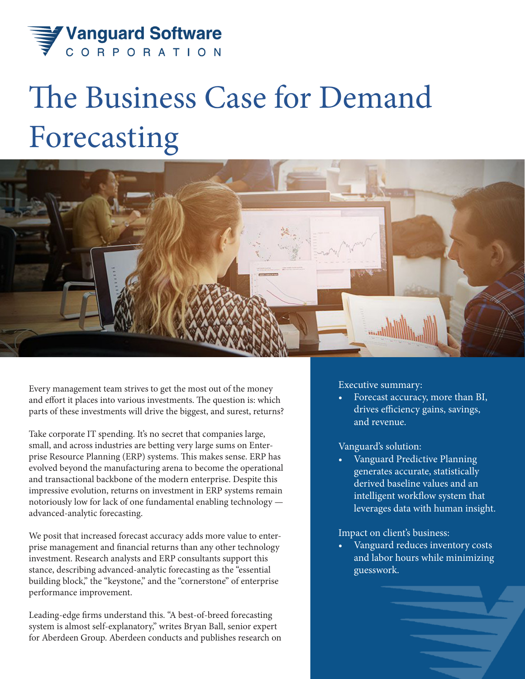

# The Business Case for Demand Forecasting



Every management team strives to get the most out of the money and effort it places into various investments. The question is: which parts of these investments will drive the biggest, and surest, returns?

Take corporate IT spending. It's no secret that companies large, small, and across industries are betting very large sums on Enterprise Resource Planning (ERP) systems. This makes sense. ERP has evolved beyond the manufacturing arena to become the operational and transactional backbone of the modern enterprise. Despite this impressive evolution, returns on investment in ERP systems remain notoriously low for lack of one fundamental enabling technology advanced-analytic forecasting.

We posit that increased forecast accuracy adds more value to enterprise management and financial returns than any other technology investment. Research analysts and ERP consultants support this stance, describing advanced-analytic forecasting as the "essential building block," the "keystone," and the "cornerstone" of enterprise performance improvement.

Leading-edge firms understand this. "A best-of-breed forecasting system is almost self-explanatory," writes Bryan Ball, senior expert for Aberdeen Group. Aberdeen conducts and publishes research on Executive summary:

• Forecast accuracy, more than BI, drives efficiency gains, savings, and revenue.

## Vanguard's solution:

• Vanguard Predictive Planning generates accurate, statistically derived baseline values and an intelligent workflow system that leverages data with human insight.

#### Impact on client's business:

• Vanguard reduces inventory costs and labor hours while minimizing guesswork.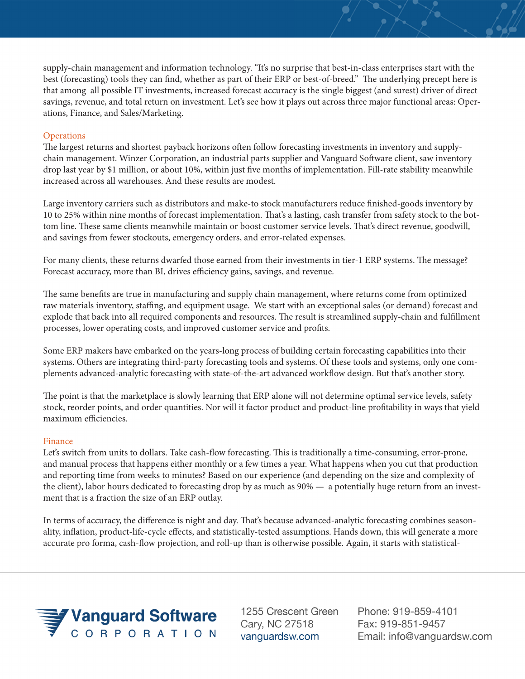supply-chain management and information technology. "It's no surprise that best-in-class enterprises start with the best (forecasting) tools they can find, whether as part of their ERP or best-of-breed." The underlying precept here is that among all possible IT investments, increased forecast accuracy is the single biggest (and surest) driver of direct savings, revenue, and total return on investment. Let's see how it plays out across three major functional areas: Operations, Finance, and Sales/Marketing.

### **Operations**

The largest returns and shortest payback horizons often follow forecasting investments in inventory and supplychain management. Winzer Corporation, an industrial parts supplier and Vanguard Software client, saw inventory drop last year by \$1 million, or about 10%, within just five months of implementation. Fill-rate stability meanwhile increased across all warehouses. And these results are modest.

Large inventory carriers such as distributors and make-to stock manufacturers reduce finished-goods inventory by 10 to 25% within nine months of forecast implementation. That's a lasting, cash transfer from safety stock to the bottom line. These same clients meanwhile maintain or boost customer service levels. That's direct revenue, goodwill, and savings from fewer stockouts, emergency orders, and error-related expenses.

For many clients, these returns dwarfed those earned from their investments in tier-1 ERP systems. The message? Forecast accuracy, more than BI, drives efficiency gains, savings, and revenue.

The same benefits are true in manufacturing and supply chain management, where returns come from optimized raw materials inventory, staffing, and equipment usage. We start with an exceptional sales (or demand) forecast and explode that back into all required components and resources. The result is streamlined supply-chain and fulfillment processes, lower operating costs, and improved customer service and profits.

Some ERP makers have embarked on the years-long process of building certain forecasting capabilities into their systems. Others are integrating third-party forecasting tools and systems. Of these tools and systems, only one complements advanced-analytic forecasting with state-of-the-art advanced workflow design. But that's another story.

The point is that the marketplace is slowly learning that ERP alone will not determine optimal service levels, safety stock, reorder points, and order quantities. Nor will it factor product and product-line profitability in ways that yield maximum efficiencies.

#### Finance

Let's switch from units to dollars. Take cash-flow forecasting. This is traditionally a time-consuming, error-prone, and manual process that happens either monthly or a few times a year. What happens when you cut that production and reporting time from weeks to minutes? Based on our experience (and depending on the size and complexity of the client), labor hours dedicated to forecasting drop by as much as 90% — a potentially huge return from an investment that is a fraction the size of an ERP outlay.

In terms of accuracy, the difference is night and day. That's because advanced-analytic forecasting combines seasonality, inflation, product-life-cycle effects, and statistically-tested assumptions. Hands down, this will generate a more accurate pro forma, cash-flow projection, and roll-up than is otherwise possible. Again, it starts with statistical-



1255 Crescent Green Cary, NC 27518 vanguardsw.com

Phone: 919-859-4101 Fax: 919-851-9457 Email: info@vanguardsw.com